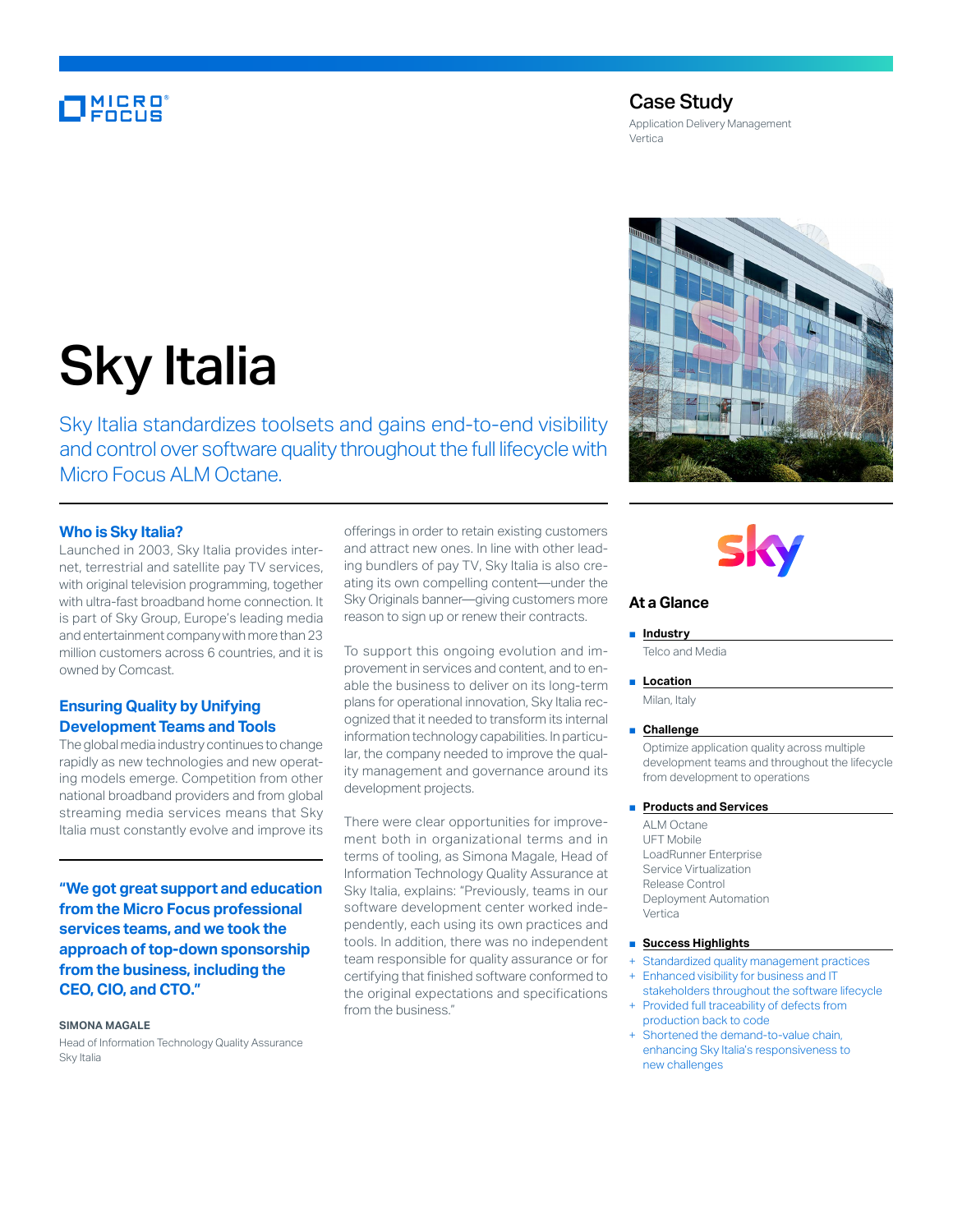# **MICRO**<br>FOCUS

## Case Study

Application Delivery Management Vertica

# Sky Italia

Sky Italia standardizes toolsets and gains end-to-end visibility and control over software quality throughout the full lifecycle with Micro Focus ALM Octane.

#### **Who is Sky Italia?**

Launched in 2003, Sky Italia provides internet, terrestrial and satellite pay TV services, with original television programming, together with ultra-fast broadband home connection. It is part of Sky Group, Europe's leading media and entertainment company with more than 23 million customers across 6 countries, and it is owned by Comcast.

### **Ensuring Quality by Unifying Development Teams and Tools**

The global media industry continues to change rapidly as new technologies and new operating models emerge. Competition from other national broadband providers and from global streaming media services means that Sky Italia must constantly evolve and improve its

**"We got great support and education from the Micro Focus professional services teams, and we took the approach of top-down sponsorship from the business, including the CEO, CIO, and CTO."**

#### **SIMONA MAGALE**

Head of Information Technology Quality Assurance Sky Italia

offerings in order to retain existing customers and attract new ones. In line with other leading bundlers of pay TV, Sky Italia is also creating its own compelling content—under the Sky Originals banner—giving customers more reason to sign up or renew their contracts.

To support this ongoing evolution and improvement in services and content, and to enable the business to deliver on its long-term plans for operational innovation, Sky Italia recognized that it needed to transform its internal information technology capabilities. In particular, the company needed to improve the quality management and governance around its development projects.

There were clear opportunities for improvement both in organizational terms and in terms of tooling, as Simona Magale, Head of Information Technology Quality Assurance at Sky Italia, explains: "Previously, teams in our software development center worked independently, each using its own practices and tools. In addition, there was no independent team responsible for quality assurance or for certifying that finished software conformed to the original expectations and specifications from the business."



### **At a Glance**

■ **Industry** 

Telco and Media

#### ■ **Location**

Milan, Italy

#### ■ **Challenge**

Optimize application quality across multiple development teams and throughout the lifecycle from development to operations

#### ■ **Products and Services**

ALM Octane UFT Mobile LoadRunner Enterprise Service Virtualization Release Control Deployment Automation Vertica

#### ■ **Success Highlights**

- Standardized quality management practices
- Enhanced visibility for business and IT stakeholders throughout the software lifecycle
- Provided full traceability of defects from production back to code Shortened the demand-to-value chain,
- enhancing Sky Italia's responsiveness to new challenges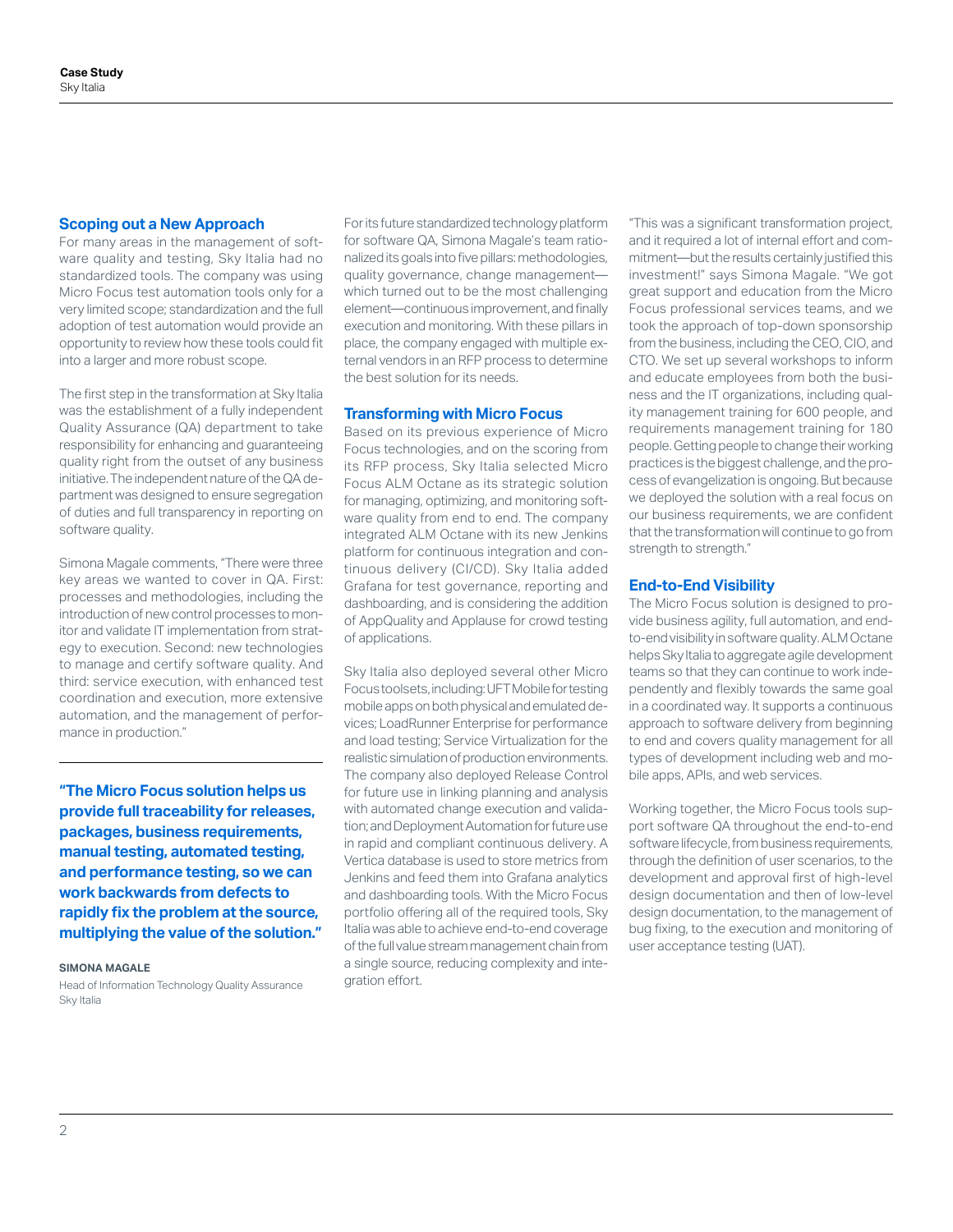#### **Scoping out a New Approach**

For many areas in the management of software quality and testing, Sky Italia had no standardized tools. The company was using Micro Focus test automation tools only for a very limited scope; standardization and the full adoption of test automation would provide an opportunity to review how these tools could fit into a larger and more robust scope.

The first step in the transformation at Sky Italia was the establishment of a fully independent Quality Assurance (QA) department to take responsibility for enhancing and guaranteeing quality right from the outset of any business initiative. The independent nature of the QA department was designed to ensure segregation of duties and full transparency in reporting on software quality.

Simona Magale comments, "There were three key areas we wanted to cover in QA. First: processes and methodologies, including the introduction of new control processes to monitor and validate IT implementation from strategy to execution. Second: new technologies to manage and certify software quality. And third: service execution, with enhanced test coordination and execution, more extensive automation, and the management of performance in production."

**"The Micro Focus solution helps us provide full traceability for releases, packages, business requirements, manual testing, automated testing, and performance testing, so we can work backwards from defects to rapidly fix the problem at the source, multiplying the value of the solution."**

**SIMONA MAGALE**

Head of Information Technology Quality Assurance Sky Italia

For its future standardized technology platform for software QA, Simona Magale's team rationalized its goals into five pillars: methodologies, quality governance, change management which turned out to be the most challenging element—continuous improvement, and finally execution and monitoring. With these pillars in place, the company engaged with multiple external vendors in an RFP process to determine the best solution for its needs.

#### **Transforming with Micro Focus**

Based on its previous experience of Micro Focus technologies, and on the scoring from its RFP process, Sky Italia selected Micro Focus ALM Octane as its strategic solution for managing, optimizing, and monitoring software quality from end to end. The company integrated ALM Octane with its new Jenkins platform for continuous integration and continuous delivery (CI/CD). Sky Italia added Grafana for test governance, reporting and dashboarding, and is considering the addition of AppQuality and Applause for crowd testing of applications.

Sky Italia also deployed several other Micro Focus toolsets, including: UFT Mobile for testing mobile apps on both physical and emulated devices; LoadRunner Enterprise for performance and load testing; Service Virtualization for the realistic simulation of production environments. The company also deployed Release Control for future use in linking planning and analysis with automated change execution and validation; and Deployment Automation for future use in rapid and compliant continuous delivery. A Vertica database is used to store metrics from Jenkins and feed them into Grafana analytics and dashboarding tools. With the Micro Focus portfolio offering all of the required tools, Sky Italia was able to achieve end-to-end coverage of the full value stream management chain from a single source, reducing complexity and integration effort.

"This was a significant transformation project, and it required a lot of internal effort and commitment—but the results certainly justified this investment!" says Simona Magale. "We got great support and education from the Micro Focus professional services teams, and we took the approach of top-down sponsorship from the business, including the CEO, CIO, and CTO. We set up several workshops to inform and educate employees from both the business and the IT organizations, including quality management training for 600 people, and requirements management training for 180 people. Getting people to change their working practices is the biggest challenge, and the process of evangelization is ongoing. But because we deployed the solution with a real focus on our business requirements, we are confident that the transformation will continue to go from strength to strength."

#### **End-to-End Visibility**

The Micro Focus solution is designed to provide business agility, full automation, and endto-end visibility in software quality. ALM Octane helps Sky Italia to aggregate agile development teams so that they can continue to work independently and flexibly towards the same goal in a coordinated way. It supports a continuous approach to software delivery from beginning to end and covers quality management for all types of development including web and mobile apps, APIs, and web services.

Working together, the Micro Focus tools support software QA throughout the end-to-end software lifecycle, from business requirements, through the definition of user scenarios, to the development and approval first of high-level design documentation and then of low-level design documentation, to the management of bug fixing, to the execution and monitoring of user acceptance testing (UAT).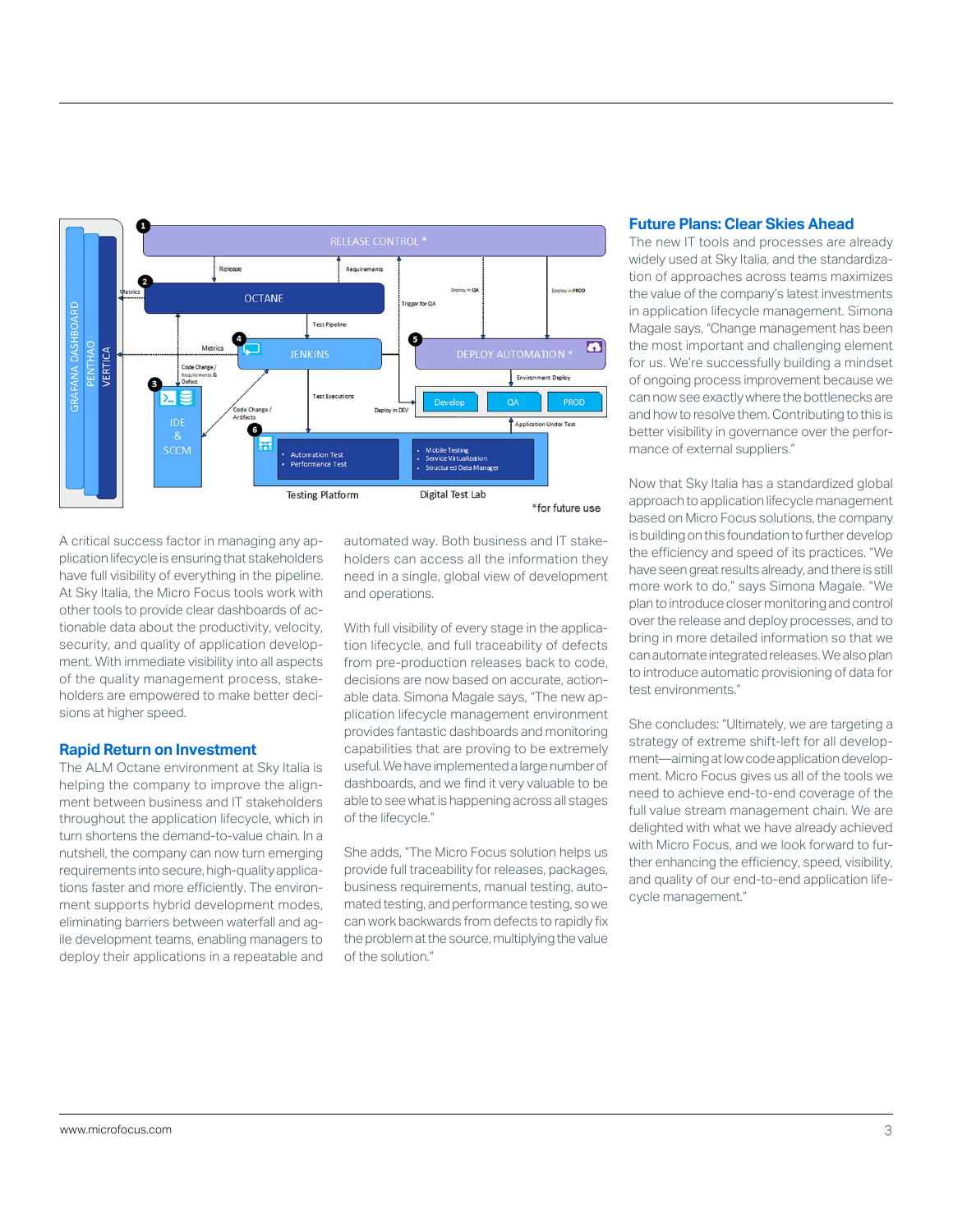

A critical success factor in managing any application lifecycle is ensuring that stakeholders have full visibility of everything in the pipeline. At Sky Italia, the Micro Focus tools work with other tools to provide clear dashboards of actionable data about the productivity, velocity, security, and quality of application development. With immediate visibility into all aspects of the quality management process, stakeholders are empowered to make better decisions at higher speed.

#### **Rapid Return on Investment**

The ALM Octane environment at Sky Italia is helping the company to improve the alignment between business and IT stakeholders throughout the application lifecycle, which in turn shortens the demand-to-value chain. In a nutshell, the company can now turn emerging requirements into secure, high-quality applications faster and more efficiently. The environment supports hybrid development modes, eliminating barriers between waterfall and agile development teams, enabling managers to deploy their applications in a repeatable and automated way. Both business and IT stakeholders can access all the information they need in a single, global view of development and operations.

With full visibility of every stage in the application lifecycle, and full traceability of defects from pre-production releases back to code, decisions are now based on accurate, actionable data. Simona Magale says, "The new application lifecycle management environment provides fantastic dashboards and monitoring capabilities that are proving to be extremely useful. We have implemented a large number of dashboards, and we find it very valuable to be able to see what is happening across all stages of the lifecycle."

She adds, "The Micro Focus solution helps us provide full traceability for releases, packages, business requirements, manual testing, automated testing, and performance testing, so we can work backwards from defects to rapidly fix the problem at the source, multiplying the value of the solution."

#### **Future Plans: Clear Skies Ahead**

The new IT tools and processes are already widely used at Sky Italia, and the standardization of approaches across teams maximizes the value of the company's latest investments in application lifecycle management. Simona Magale says, "Change management has been the most important and challenging element for us. We're successfully building a mindset of ongoing process improvement because we can now see exactly where the bottlenecks are and how to resolve them. Contributing to this is better visibility in governance over the performance of external suppliers."

Now that Sky Italia has a standardized global approach to application lifecycle management based on Micro Focus solutions, the company is building on this foundation to further develop the efficiency and speed of its practices. "We have seen great results already, and there is still more work to do," says Simona Magale. "We plan to introduce closer monitoring and control over the release and deploy processes, and to bring in more detailed information so that we can automate integrated releases. We also plan to introduce automatic provisioning of data for test environments."

She concludes: "Ultimately, we are targeting a strategy of extreme shift-left for all development—aiming at low code application development. Micro Focus gives us all of the tools we need to achieve end-to-end coverage of the full value stream management chain. We are delighted with what we have already achieved with Micro Focus, and we look forward to further enhancing the efficiency, speed, visibility, and quality of our end-to-end application lifecycle management."